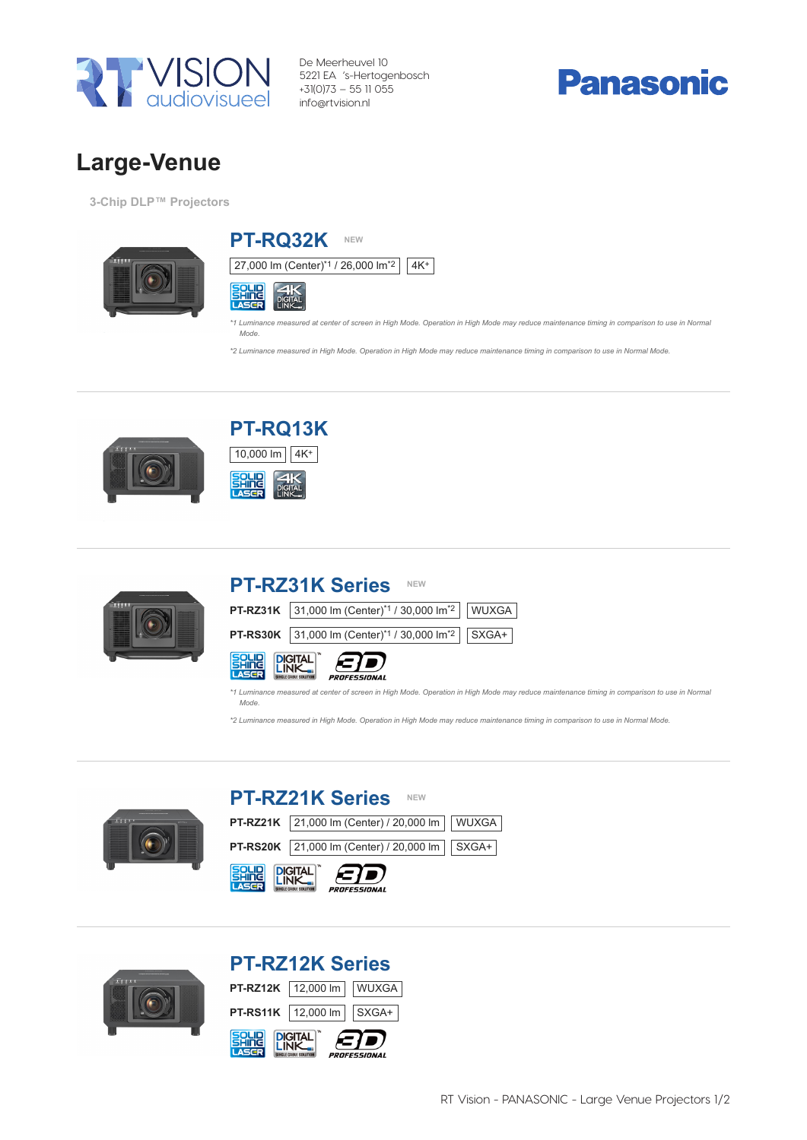

De Meerheuvel 10 5221 EA 's-Hertogenbosch +31(0)73 – 55 11 055 info@rtvision.nl

# **Panasonic**

### Large-Venue 3-Chip DLP™ Projectors Large-Venue

3-Chip DLP™ Projectors





*\*1 Luminance measured at center of screen in High Mode. Operation in High Mode may reduce maintenance timing in comparison to use in Normal Mode.*

\*2 Luminance measured in High Mode. Operation in High Mode may reduce maintenance timing in comparison to use in Normal Mode.





PT-RQ13K

 $10,000 \text{ Im}$   $4K^{+}$ 

10,000 **same** 

## PT-RZ31K Series NEW **PT-RZ31K** 31,000 lm (Center)\*1 / 30,000 lm\*2 WUXGA **PT-RS30K** 31,000 lm (Center)\*1 / 30,000 lm\*2 | SXGA+ **SOLID DIGITAL 3** PROFESSIONAL

*\*1 Luminance measured at center of screen in High Mode. Operation in High Mode may reduce maintenance timing in comparison to use in Normal Mode.*

\*2 Luminance measured in High Mode. Operation in High Mode may reduce maintenance timing in comparison to use in Normal Mode.



|                                          | <b>PT-RZ21K Series</b><br><b>NEW</b>                     |  |  |
|------------------------------------------|----------------------------------------------------------|--|--|
|                                          | <b>PT-RZ21K</b> 21,000 lm (Center) / 20,000 lm     WUXGA |  |  |
|                                          | PT-RS20K 21,000 lm (Center) / 20,000 lm   SXGA+          |  |  |
| <b>SPLID DIGITAL COD</b><br>PROFESSIONAL |                                                          |  |  |



## PT-RZ12K Series

| <b>SALIE PICITAL</b> |                                         | PROFESSIONAL |
|----------------------|-----------------------------------------|--------------|
|                      | <b>PT-RS11K</b>   12,000 lm   $ $ SXGA+ |              |
|                      | PT-RZ12K   12,000 lm     WUXGA          |              |